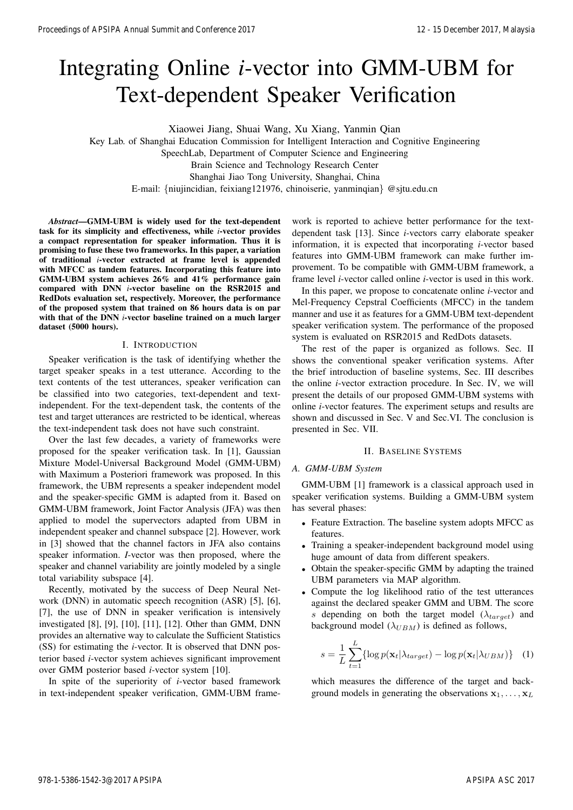# Integrating Online *i*-vector into GMM-UBM for Text-dependent Speaker Verification

Xiaowei Jiang, Shuai Wang, Xu Xiang, Yanmin Qian Key Lab. of Shanghai Education Commission for Intelligent Interaction and Cognitive Engineering SpeechLab, Department of Computer Science and Engineering Brain Science and Technology Research Center Shanghai Jiao Tong University, Shanghai, China

E-mail: {niujincidian, feixiang121976, chinoiserie, yanminqian} @sjtu.edu.cn

*Abstract*—GMM-UBM is widely used for the text-dependent task for its simplicity and effectiveness, while *i*-vector provides a compact representation for speaker information. Thus it is promising to fuse these two frameworks. In this paper, a variation of traditional *i*-vector extracted at frame level is appended with MFCC as tandem features. Incorporating this feature into GMM-UBM system achieves 26% and 41% performance gain compared with DNN *i*-vector baseline on the RSR2015 and RedDots evaluation set, respectively. Moreover, the performance of the proposed system that trained on 86 hours data is on par with that of the DNN *i*-vector baseline trained on a much larger dataset (5000 hours).

#### I. INTRODUCTION

Speaker verification is the task of identifying whether the target speaker speaks in a test utterance. According to the text contents of the test utterances, speaker verification can be classified into two categories, text-dependent and textindependent. For the text-dependent task, the contents of the test and target utterances are restricted to be identical, whereas the text-independent task does not have such constraint.

Over the last few decades, a variety of frameworks were proposed for the speaker verification task. In [1], Gaussian Mixture Model-Universal Background Model (GMM-UBM) with Maximum a Posteriori framework was proposed. In this framework, the UBM represents a speaker independent model and the speaker-specific GMM is adapted from it. Based on GMM-UBM framework, Joint Factor Analysis (JFA) was then applied to model the supervectors adapted from UBM in independent speaker and channel subspace [2]. However, work in [3] showed that the channel factors in JFA also contains speaker information. *I*-vector was then proposed, where the speaker and channel variability are jointly modeled by a single total variability subspace [4].

Recently, motivated by the success of Deep Neural Network (DNN) in automatic speech recognition (ASR) [5], [6], [7], the use of DNN in speaker verification is intensively investigated [8], [9], [10], [11], [12]. Other than GMM, DNN provides an alternative way to calculate the Sufficient Statistics (SS) for estimating the *i*-vector. It is observed that DNN posterior based *i*-vector system achieves significant improvement over GMM posterior based *i*-vector system [10].

In spite of the superiority of *i*-vector based framework in text-independent speaker verification, GMM-UBM frame-

work is reported to achieve better performance for the textdependent task [13]. Since *i*-vectors carry elaborate speaker information, it is expected that incorporating *i*-vector based features into GMM-UBM framework can make further improvement. To be compatible with GMM-UBM framework, a frame level *i*-vector called online *i*-vector is used in this work.

In this paper, we propose to concatenate online *i*-vector and Mel-Frequency Cepstral Coefficients (MFCC) in the tandem manner and use it as features for a GMM-UBM text-dependent speaker verification system. The performance of the proposed system is evaluated on RSR2015 and RedDots datasets.

The rest of the paper is organized as follows. Sec. II shows the conventional speaker verification systems. After the brief introduction of baseline systems, Sec. III describes the online *i*-vector extraction procedure. In Sec. IV, we will present the details of our proposed GMM-UBM systems with online *i*-vector features. The experiment setups and results are shown and discussed in Sec. V and Sec.VI. The conclusion is presented in Sec. VII.

## II. BASELINE SYSTEMS

# *A. GMM-UBM System*

GMM-UBM [1] framework is a classical approach used in speaker verification systems. Building a GMM-UBM system has several phases:

- Feature Extraction. The baseline system adopts MFCC as features.
- Training a speaker-independent background model using huge amount of data from different speakers.
- Obtain the speaker-specific GMM by adapting the trained UBM parameters via MAP algorithm.
- Compute the log likelihood ratio of the test utterances against the declared speaker GMM and UBM. The score s depending on both the target model  $(\lambda_{target})$  and background model  $(\lambda_{UBM})$  is defined as follows,

$$
s = \frac{1}{L} \sum_{t=1}^{L} \{ \log p(\mathbf{x}_t | \lambda_{target}) - \log p(\mathbf{x}_t | \lambda_{UBM}) \} \quad (1)
$$

which measures the difference of the target and background models in generating the observations  $x_1, \ldots, x_L$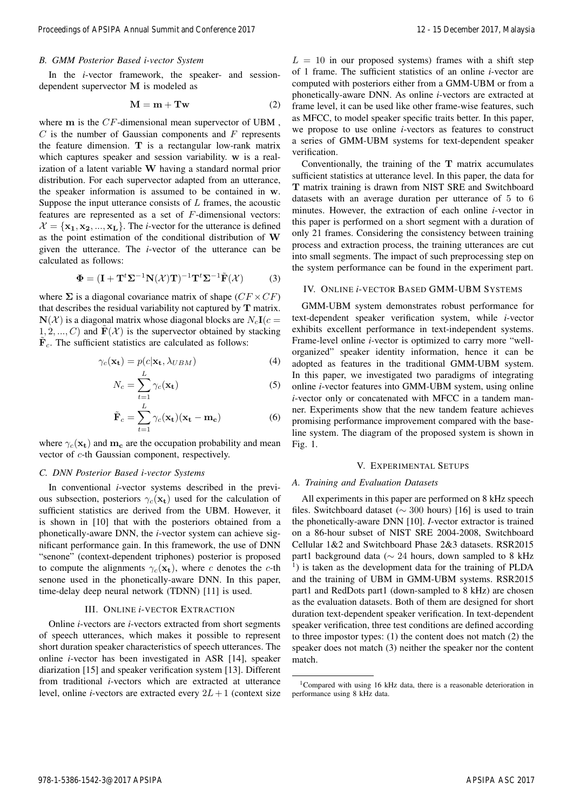### *B. GMM Posterior Based i-vector System*

In the *i*-vector framework, the speaker- and sessiondependent supervector M is modeled as

$$
M = m + Tw
$$
 (2)

where m is the CF-dimensional mean supervector of UBM ,  $C$  is the number of Gaussian components and  $F$  represents the feature dimension. T is a rectangular low-rank matrix which captures speaker and session variability. w is a realization of a latent variable W having a standard normal prior distribution. For each supervector adapted from an utterance, the speaker information is assumed to be contained in w. Suppose the input utterance consists of  $L$  frames, the acoustic features are represented as a set of F-dimensional vectors:  $\mathcal{X} = {\mathbf{x_1}, \mathbf{x_2}, ..., \mathbf{x_L}}$ . The *i*-vector for the utterance is defined as the point estimation of the conditional distribution of W given the utterance. The *i*-vector of the utterance can be calculated as follows:

$$
\Phi = (\mathbf{I} + \mathbf{T}^t \Sigma^{-1} \mathbf{N}(\mathcal{X}) \mathbf{T})^{-1} \mathbf{T}^t \Sigma^{-1} \tilde{\mathbf{F}}(\mathcal{X})
$$
(3)

where  $\Sigma$  is a diagonal covariance matrix of shape  $(CF \times CF)$ that describes the residual variability not captured by T matrix.  $N(\mathcal{X})$  is a diagonal matrix whose diagonal blocks are  $N_cI(c =$  $1, 2, ..., C$  and  $\mathbf{F}(\mathcal{X})$  is the supervector obtained by stacking  $\tilde{\mathbf{F}}_c$ . The sufficient statistics are calculated as follows:

$$
\gamma_c(\mathbf{x_t}) = p(c|\mathbf{x_t}, \lambda_{UBM})
$$
\n(4)

$$
N_c = \sum_{t=1}^{L} \gamma_c(\mathbf{x_t})
$$
\n(5)

$$
\tilde{\mathbf{F}}_c = \sum_{t=1}^L \gamma_c(\mathbf{x_t})(\mathbf{x_t} - \mathbf{m_c})
$$
\n(6)

where  $\gamma_c(\mathbf{x_t})$  and  $\mathbf{m_c}$  are the occupation probability and mean vector of c-th Gaussian component, respectively.

#### *C. DNN Posterior Based i-vector Systems*

In conventional *i*-vector systems described in the previous subsection, posteriors  $\gamma_c(\mathbf{x}_t)$  used for the calculation of sufficient statistics are derived from the UBM. However, it is shown in [10] that with the posteriors obtained from a phonetically-aware DNN, the *i*-vector system can achieve significant performance gain. In this framework, the use of DNN "senone" (context-dependent triphones) posterior is proposed to compute the alignments  $\gamma_c(\mathbf{x}_t)$ , where c denotes the c-th senone used in the phonetically-aware DNN. In this paper, time-delay deep neural network (TDNN) [11] is used.

#### III. ONLINE *i*-VECTOR EXTRACTION

Online *i*-vectors are *i*-vectors extracted from short segments of speech utterances, which makes it possible to represent short duration speaker characteristics of speech utterances. The online *i*-vector has been investigated in ASR [14], speaker diarization [15] and speaker verification system [13]. Different from traditional *i*-vectors which are extracted at utterance level, online *i*-vectors are extracted every  $2L + 1$  (context size  $L = 10$  in our proposed systems) frames with a shift step of 1 frame. The sufficient statistics of an online *i*-vector are computed with posteriors either from a GMM-UBM or from a phonetically-aware DNN. As online *i*-vectors are extracted at frame level, it can be used like other frame-wise features, such as MFCC, to model speaker specific traits better. In this paper, we propose to use online *i*-vectors as features to construct a series of GMM-UBM systems for text-dependent speaker verification.

Conventionally, the training of the  $T$  matrix accumulates sufficient statistics at utterance level. In this paper, the data for T matrix training is drawn from NIST SRE and Switchboard datasets with an average duration per utterance of 5 to 6 minutes. However, the extraction of each online *i*-vector in this paper is performed on a short segment with a duration of only 21 frames. Considering the consistency between training process and extraction process, the training utterances are cut into small segments. The impact of such preprocessing step on the system performance can be found in the experiment part.

# IV. ONLINE *i*-VECTOR BASED GMM-UBM SYSTEMS

GMM-UBM system demonstrates robust performance for text-dependent speaker verification system, while *i*-vector exhibits excellent performance in text-independent systems. Frame-level online *i*-vector is optimized to carry more "wellorganized" speaker identity information, hence it can be adopted as features in the traditional GMM-UBM system. In this paper, we investigated two paradigms of integrating online *i*-vector features into GMM-UBM system, using online *i*-vector only or concatenated with MFCC in a tandem manner. Experiments show that the new tandem feature achieves promising performance improvement compared with the baseline system. The diagram of the proposed system is shown in Fig. 1.

#### V. EXPERIMENTAL SETUPS

### *A. Training and Evaluation Datasets*

All experiments in this paper are performed on 8 kHz speech files. Switchboard dataset ( $\sim$  300 hours) [16] is used to train the phonetically-aware DNN [10]. *I*-vector extractor is trained on a 86-hour subset of NIST SRE 2004-2008, Switchboard Cellular 1&2 and Switchboard Phase 2&3 datasets. RSR2015 part1 background data ( $\sim$  24 hours, down sampled to 8 kHz <sup>1</sup>) is taken as the development data for the training of PLDA and the training of UBM in GMM-UBM systems. RSR2015 part1 and RedDots part1 (down-sampled to 8 kHz) are chosen as the evaluation datasets. Both of them are designed for short duration text-dependent speaker verification. In text-dependent speaker verification, three test conditions are defined according to three impostor types: (1) the content does not match (2) the speaker does not match (3) neither the speaker nor the content match.

<sup>1</sup>Compared with using 16 kHz data, there is a reasonable deterioration in performance using 8 kHz data.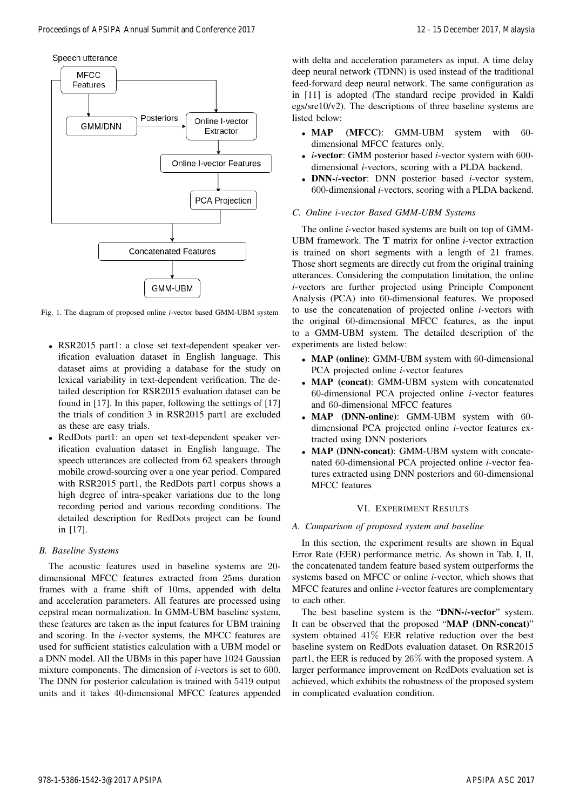

Fig. 1. The diagram of proposed online *i*-vector based GMM-UBM system

- RSR2015 part1: a close set text-dependent speaker verification evaluation dataset in English language. This dataset aims at providing a database for the study on lexical variability in text-dependent verification. The detailed description for RSR2015 evaluation dataset can be found in [17]. In this paper, following the settings of [17] the trials of condition 3 in RSR2015 part1 are excluded as these are easy trials.
- RedDots part1: an open set text-dependent speaker verification evaluation dataset in English language. The speech utterances are collected from 62 speakers through mobile crowd-sourcing over a one year period. Compared with RSR2015 part1, the RedDots part1 corpus shows a high degree of intra-speaker variations due to the long recording period and various recording conditions. The detailed description for RedDots project can be found in [17].

# *B. Baseline Systems*

The acoustic features used in baseline systems are 20 dimensional MFCC features extracted from 25ms duration frames with a frame shift of 10ms, appended with delta and acceleration parameters. All features are processed using cepstral mean normalization. In GMM-UBM baseline system, these features are taken as the input features for UBM training and scoring. In the *i*-vector systems, the MFCC features are used for sufficient statistics calculation with a UBM model or a DNN model. All the UBMs in this paper have 1024 Gaussian mixture components. The dimension of *i*-vectors is set to 600. The DNN for posterior calculation is trained with 5419 output units and it takes 40-dimensional MFCC features appended

with delta and acceleration parameters as input. A time delay deep neural network (TDNN) is used instead of the traditional feed-forward deep neural network. The same configuration as in [11] is adopted (The standard recipe provided in Kaldi egs/sre10/v2). The descriptions of three baseline systems are listed below:

- MAP (MFCC): GMM-UBM system with 60dimensional MFCC features only.
- *i*-vector: GMM posterior based *i*-vector system with 600 dimensional *i*-vectors, scoring with a PLDA backend.
- DNN-*i*-vector: DNN posterior based *i*-vector system, 600-dimensional *i*-vectors, scoring with a PLDA backend.

# *C. Online i-vector Based GMM-UBM Systems*

The online *i*-vector based systems are built on top of GMM-UBM framework. The T matrix for online *i*-vector extraction is trained on short segments with a length of 21 frames. Those short segments are directly cut from the original training utterances. Considering the computation limitation, the online *i*-vectors are further projected using Principle Component Analysis (PCA) into 60-dimensional features. We proposed to use the concatenation of projected online *i*-vectors with the original 60-dimensional MFCC features, as the input to a GMM-UBM system. The detailed description of the experiments are listed below:

- MAP (online): GMM-UBM system with 60-dimensional PCA projected online *i*-vector features
- MAP (concat): GMM-UBM system with concatenated 60-dimensional PCA projected online *i*-vector features and 60-dimensional MFCC features
- MAP (DNN-online): GMM-UBM system with 60 dimensional PCA projected online *i*-vector features extracted using DNN posteriors
- MAP (DNN-concat): GMM-UBM system with concatenated 60-dimensional PCA projected online *i*-vector features extracted using DNN posteriors and 60-dimensional MFCC features

# VI. EXPERIMENT RESULTS

# *A. Comparison of proposed system and baseline*

In this section, the experiment results are shown in Equal Error Rate (EER) performance metric. As shown in Tab. I, II, the concatenated tandem feature based system outperforms the systems based on MFCC or online *i*-vector, which shows that MFCC features and online *i*-vector features are complementary to each other.

The best baseline system is the "DNN-*i*-vector" system. It can be observed that the proposed "MAP (DNN-concat)" system obtained 41% EER relative reduction over the best baseline system on RedDots evaluation dataset. On RSR2015 part1, the EER is reduced by 26% with the proposed system. A larger performance improvement on RedDots evaluation set is achieved, which exhibits the robustness of the proposed system in complicated evaluation condition.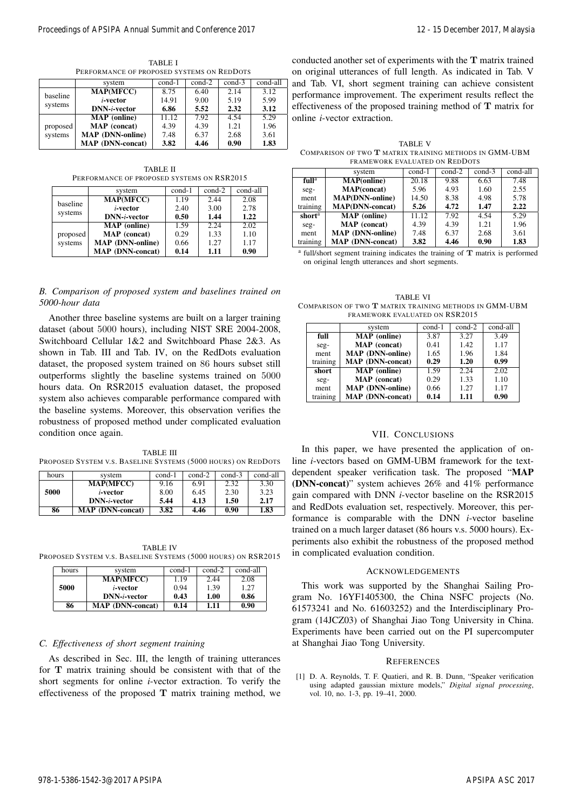TABLE I PERFORMANCE OF PROPOSED SYSTEMS ON REDDOTS

|          | system                  | cond-1 | $cond-2$ | $cond-3$ | cond-all |
|----------|-------------------------|--------|----------|----------|----------|
| baseline | <b>MAP(MFCC)</b>        | 8.75   | 6.40     | 2.14     | 3.12     |
|          | <i>i</i> -vector        | 14.91  | 9.00     | 5.19     | 5.99     |
| systems  | $DNN-i-vector$          | 6.86   | 5.52     | 2.32     | 3.12     |
|          | <b>MAP</b> (online)     | 11.12  | 7.92     | 4.54     | 5.29     |
| proposed | MAP (concat)            | 4.39   | 4.39     | 1.21     | 1.96     |
| systems  | <b>MAP</b> (DNN-online) | 7.48   | 6.37     | 2.68     | 3.61     |
|          | <b>MAP</b> (DNN-concat) | 3.82   | 4.46     | 0.90     | 1.83     |

TABLE II PERFORMANCE OF PROPOSED SYSTEMS ON RSR2015

|          | system                             | cond-1 | $cond-2$ | cond-all |
|----------|------------------------------------|--------|----------|----------|
| baseline | <b>MAP(MFCC)</b>                   | 1.19   | 2.44     | 2.08     |
|          | <i>i</i> -vector                   | 2.40   | 3.00     | 2.78     |
| systems  | $DNN-i-vector$                     | 0.50   | 1.44     | 1.22     |
|          | $\overline{\mathbf{MAP}}$ (online) | 1.59   | 2.24     | 2.02     |
| proposed | <b>MAP</b> (concat)                | 0.29   | 1.33     | 1.10     |
| systems  | <b>MAP</b> (DNN-online)            | 0.66   | 1.27     | 1.17     |
|          | <b>MAP</b> (DNN-concat)            | 0.14   | 1.11     | 0.90     |

# *B. Comparison of proposed system and baselines trained on 5000-hour data*

Another three baseline systems are built on a larger training dataset (about 5000 hours), including NIST SRE 2004-2008, Switchboard Cellular 1&2 and Switchboard Phase 2&3. As shown in Tab. III and Tab. IV, on the RedDots evaluation dataset, the proposed system trained on 86 hours subset still outperforms slightly the baseline systems trained on 5000 hours data. On RSR2015 evaluation dataset, the proposed system also achieves comparable performance compared with the baseline systems. Moreover, this observation verifies the robustness of proposed method under complicated evaluation condition once again.

TABLE III PROPOSED SYSTEM V.S. BASELINE SYSTEMS (5000 HOURS) ON REDDOTS

| hours | system                  | cond-1 | $cond-2$ | $cond-3$ | cond-all |
|-------|-------------------------|--------|----------|----------|----------|
|       | <b>MAP(MFCC)</b>        | 9.16   | 6.91     | 2.32     | 3.30     |
| 5000  | <i>i</i> -vector        | 8.00   | 6.45     | 2.30     | 3.23     |
|       | $DNN-i-vector$          | 5.44   | 4.13     | 1.50     | 2.17     |
| 86    | <b>MAP (DNN-concat)</b> | 3.82   | 4.46     | 0.90     | 1.83     |

TABLE IV PROPOSED SYSTEM V.S. BASELINE SYSTEMS (5000 HOURS) ON RSR2015

| hours | system                               | $cond-1$ | $cond-2$ | cond-all |
|-------|--------------------------------------|----------|----------|----------|
|       | <b>MAP(MFCC)</b>                     | 1.19     | 2.44     | 2.08     |
| 5000  | <i>i</i> -vector                     | 0.94     | 1.39     | 1.27     |
|       | $DNN-i-vector$                       | 0.43     | 1.00     | 0.86     |
| 86    | $\overline{\text{MAP}}$ (DNN-concat) | 0.14     | 1.11     | 0.90     |

# *C. Effectiveness of short segment training*

As described in Sec. III, the length of training utterances for T matrix training should be consistent with that of the short segments for online *i*-vector extraction. To verify the effectiveness of the proposed  $T$  matrix training method, we

conducted another set of experiments with the T matrix trained on original utterances of full length. As indicated in Tab. V and Tab. VI, short segment training can achieve consistent performance improvement. The experiment results reflect the effectiveness of the proposed training method of T matrix for online *i*-vector extraction.

TABLE V COMPARISON OF TWO T MATRIX TRAINING METHODS IN GMM-UBM FRAMEWORK EVALUATED ON REDDOTS

|                    | system                  | cond-1 | $cond-2$ | $cond-3$ | cond-all          |
|--------------------|-------------------------|--------|----------|----------|-------------------|
| full <sup>a</sup>  | <b>MAP(online)</b>      | 20.18  | 9.88     | 6.63     | 7.48              |
| $seg-$             | <b>MAP</b> (concat)     | 5.96   | 4.93     | 1.60     | 2.55              |
| ment               | <b>MAP(DNN-online)</b>  | 14.50  | 8.38     | 4.98     | 5.78              |
| training           | <b>MAP(DNN-concat)</b>  | 5.26   | 4.72     | 1.47     | 2.22              |
| short <sup>a</sup> | <b>MAP</b> (online)     | 11.12  | 7.92     | 4.54     | $\overline{5.29}$ |
| seg-               | MAP (concat)            | 4.39   | 4.39     | 1.21     | 1.96              |
| ment               | <b>MAP</b> (DNN-online) | 7.48   | 6.37     | 2.68     | 3.61              |
| training           | <b>MAP</b> (DNN-concat) | 3.82   | 4.46     | 0.90     | 1.83              |

<sup>a</sup> full/short segment training indicates the training of T matrix is performed on original length utterances and short segments.

TABLE VI COMPARISON OF TWO **T** MATRIX TRAINING METHODS IN GMM-UBM FRAMEWORK EVALUATED ON RSR2015

|          | system                  | cond-1 | $cond-2$ | cond-all |
|----------|-------------------------|--------|----------|----------|
| full     | <b>MAP</b> (online)     | 3.87   | 3.27     | 3.49     |
| seg-     | MAP (concat)            | 0.41   | 1.42     | 1.17     |
| ment     | <b>MAP</b> (DNN-online) | 1.65   | 1.96     | 1.84     |
| training | <b>MAP</b> (DNN-concat) | 0.29   | 1.20     | 0.99     |
| short    | <b>MAP</b> (online)     | 1.59   | 2.24     | 2.02     |
| seg-     | MAP (concat)            | 0.29   | 1.33     | 1.10     |
| ment     | <b>MAP</b> (DNN-online) | 0.66   | 1.27     | 1.17     |
| training | <b>MAP</b> (DNN-concat) | 0.14   | 1.11     | 0.90     |

#### VII. CONCLUSIONS

In this paper, we have presented the application of online *i*-vectors based on GMM-UBM framework for the textdependent speaker verification task. The proposed "MAP (DNN-concat)" system achieves 26% and 41% performance gain compared with DNN *i*-vector baseline on the RSR2015 and RedDots evaluation set, respectively. Moreover, this performance is comparable with the DNN *i*-vector baseline trained on a much larger dataset (86 hours v.s. 5000 hours). Experiments also exhibit the robustness of the proposed method in complicated evaluation condition.

#### ACKNOWLEDGEMENTS

This work was supported by the Shanghai Sailing Program No. 16YF1405300, the China NSFC projects (No. 61573241 and No. 61603252) and the Interdisciplinary Program (14JCZ03) of Shanghai Jiao Tong University in China. Experiments have been carried out on the PI supercomputer at Shanghai Jiao Tong University.

#### **REFERENCES**

[1] D. A. Reynolds, T. F. Quatieri, and R. B. Dunn, "Speaker verification using adapted gaussian mixture models," *Digital signal processing*, vol. 10, no. 1-3, pp. 19–41, 2000.